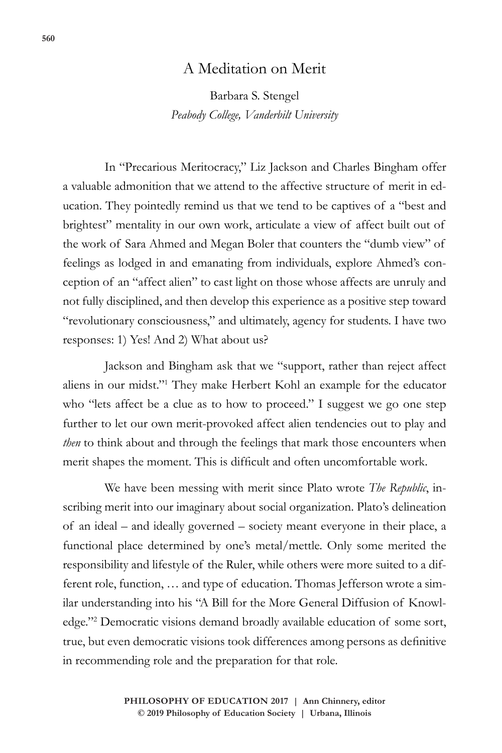## A Meditation on Merit

Barbara S. Stengel *Peabody College, Vanderbilt University*

In "Precarious Meritocracy," Liz Jackson and Charles Bingham offer a valuable admonition that we attend to the affective structure of merit in education. They pointedly remind us that we tend to be captives of a "best and brightest" mentality in our own work, articulate a view of affect built out of the work of Sara Ahmed and Megan Boler that counters the "dumb view" of feelings as lodged in and emanating from individuals, explore Ahmed's conception of an "affect alien" to cast light on those whose affects are unruly and not fully disciplined, and then develop this experience as a positive step toward "revolutionary consciousness," and ultimately, agency for students. I have two responses: 1) Yes! And 2) What about us?

Jackson and Bingham ask that we "support, rather than reject affect aliens in our midst."1 They make Herbert Kohl an example for the educator who "lets affect be a clue as to how to proceed." I suggest we go one step further to let our own merit-provoked affect alien tendencies out to play and *then* to think about and through the feelings that mark those encounters when merit shapes the moment. This is difficult and often uncomfortable work.

We have been messing with merit since Plato wrote *The Republic*, inscribing merit into our imaginary about social organization. Plato's delineation of an ideal – and ideally governed – society meant everyone in their place, a functional place determined by one's metal/mettle. Only some merited the responsibility and lifestyle of the Ruler, while others were more suited to a different role, function, … and type of education. Thomas Jefferson wrote a similar understanding into his "A Bill for the More General Diffusion of Knowledge."2 Democratic visions demand broadly available education of some sort, true, but even democratic visions took differences among persons as definitive in recommending role and the preparation for that role.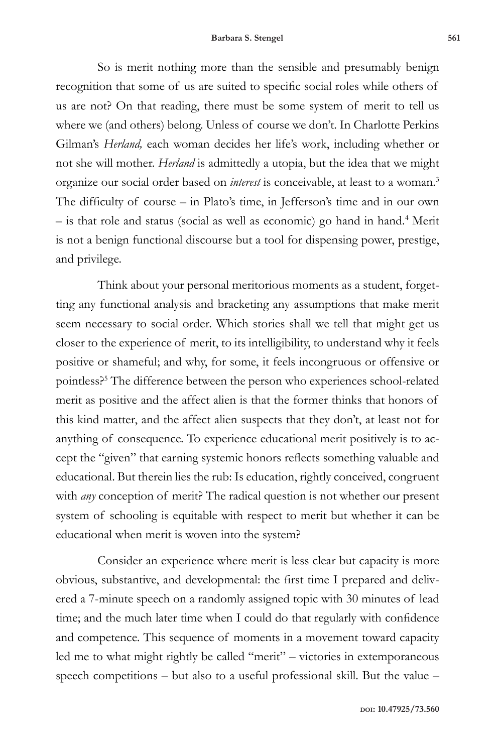So is merit nothing more than the sensible and presumably benign recognition that some of us are suited to specific social roles while others of us are not? On that reading, there must be some system of merit to tell us where we (and others) belong. Unless of course we don't. In Charlotte Perkins Gilman's *Herland,* each woman decides her life's work, including whether or not she will mother. *Herland* is admittedly a utopia, but the idea that we might organize our social order based on *interest* is conceivable, at least to a woman.3 The difficulty of course – in Plato's time, in Jefferson's time and in our own – is that role and status (social as well as economic) go hand in hand.4 Merit is not a benign functional discourse but a tool for dispensing power, prestige, and privilege.

Think about your personal meritorious moments as a student, forgetting any functional analysis and bracketing any assumptions that make merit seem necessary to social order. Which stories shall we tell that might get us closer to the experience of merit, to its intelligibility, to understand why it feels positive or shameful; and why, for some, it feels incongruous or offensive or pointless?5 The difference between the person who experiences school-related merit as positive and the affect alien is that the former thinks that honors of this kind matter, and the affect alien suspects that they don't, at least not for anything of consequence. To experience educational merit positively is to accept the "given" that earning systemic honors reflects something valuable and educational. But therein lies the rub: Is education, rightly conceived, congruent with *any* conception of merit? The radical question is not whether our present system of schooling is equitable with respect to merit but whether it can be educational when merit is woven into the system?

Consider an experience where merit is less clear but capacity is more obvious, substantive, and developmental: the first time I prepared and delivered a 7-minute speech on a randomly assigned topic with 30 minutes of lead time; and the much later time when I could do that regularly with confidence and competence. This sequence of moments in a movement toward capacity led me to what might rightly be called "merit" – victories in extemporaneous speech competitions – but also to a useful professional skill. But the value –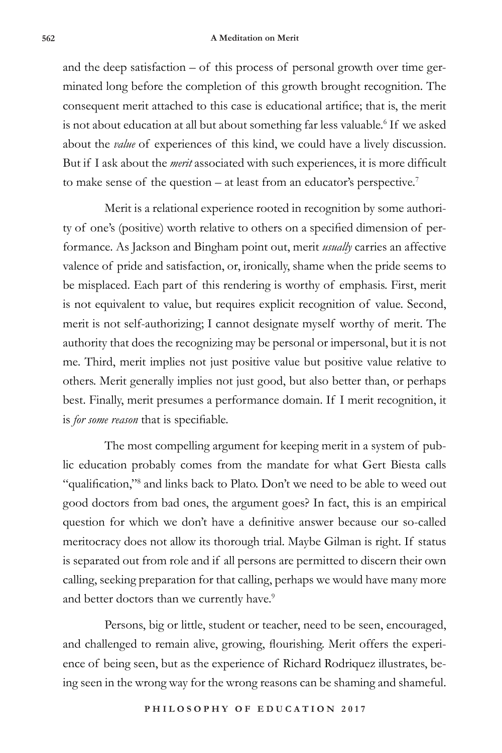## **562 A Meditation on Merit**

and the deep satisfaction – of this process of personal growth over time germinated long before the completion of this growth brought recognition. The consequent merit attached to this case is educational artifice; that is, the merit is not about education at all but about something far less valuable.<sup>6</sup> If we asked about the *value* of experiences of this kind, we could have a lively discussion. But if I ask about the *merit* associated with such experiences, it is more difficult to make sense of the question – at least from an educator's perspective.7

Merit is a relational experience rooted in recognition by some authority of one's (positive) worth relative to others on a specified dimension of performance. As Jackson and Bingham point out, merit *usually* carries an affective valence of pride and satisfaction, or, ironically, shame when the pride seems to be misplaced. Each part of this rendering is worthy of emphasis. First, merit is not equivalent to value, but requires explicit recognition of value. Second, merit is not self-authorizing; I cannot designate myself worthy of merit. The authority that does the recognizing may be personal or impersonal, but it is not me. Third, merit implies not just positive value but positive value relative to others. Merit generally implies not just good, but also better than, or perhaps best. Finally, merit presumes a performance domain. If I merit recognition, it is *for some reason* that is specifiable.

The most compelling argument for keeping merit in a system of public education probably comes from the mandate for what Gert Biesta calls "qualification,"<sup>8</sup> and links back to Plato. Don't we need to be able to weed out good doctors from bad ones, the argument goes? In fact, this is an empirical question for which we don't have a definitive answer because our so-called meritocracy does not allow its thorough trial. Maybe Gilman is right. If status is separated out from role and if all persons are permitted to discern their own calling, seeking preparation for that calling, perhaps we would have many more and better doctors than we currently have.<sup>9</sup>

Persons, big or little, student or teacher, need to be seen, encouraged, and challenged to remain alive, growing, flourishing. Merit offers the experience of being seen, but as the experience of Richard Rodriquez illustrates, being seen in the wrong way for the wrong reasons can be shaming and shameful.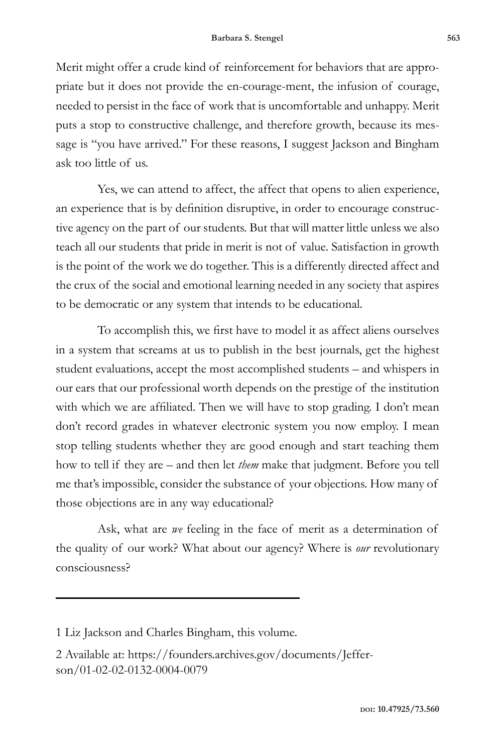Merit might offer a crude kind of reinforcement for behaviors that are appropriate but it does not provide the en-courage-ment, the infusion of courage, needed to persist in the face of work that is uncomfortable and unhappy. Merit puts a stop to constructive challenge, and therefore growth, because its message is "you have arrived." For these reasons, I suggest Jackson and Bingham ask too little of us.

Yes, we can attend to affect, the affect that opens to alien experience, an experience that is by definition disruptive, in order to encourage constructive agency on the part of our students. But that will matter little unless we also teach all our students that pride in merit is not of value. Satisfaction in growth is the point of the work we do together. This is a differently directed affect and the crux of the social and emotional learning needed in any society that aspires to be democratic or any system that intends to be educational.

To accomplish this, we first have to model it as affect aliens ourselves in a system that screams at us to publish in the best journals, get the highest student evaluations, accept the most accomplished students – and whispers in our ears that our professional worth depends on the prestige of the institution with which we are affiliated. Then we will have to stop grading. I don't mean don't record grades in whatever electronic system you now employ. I mean stop telling students whether they are good enough and start teaching them how to tell if they are – and then let *them* make that judgment. Before you tell me that's impossible, consider the substance of your objections. How many of those objections are in any way educational?

Ask, what are *we* feeling in the face of merit as a determination of the quality of our work? What about our agency? Where is *our* revolutionary consciousness?

<sup>1</sup> Liz Jackson and Charles Bingham, this volume.

<sup>2</sup> Available at: https://founders.archives.gov/documents/Jefferson/01-02-02-0132-0004-0079